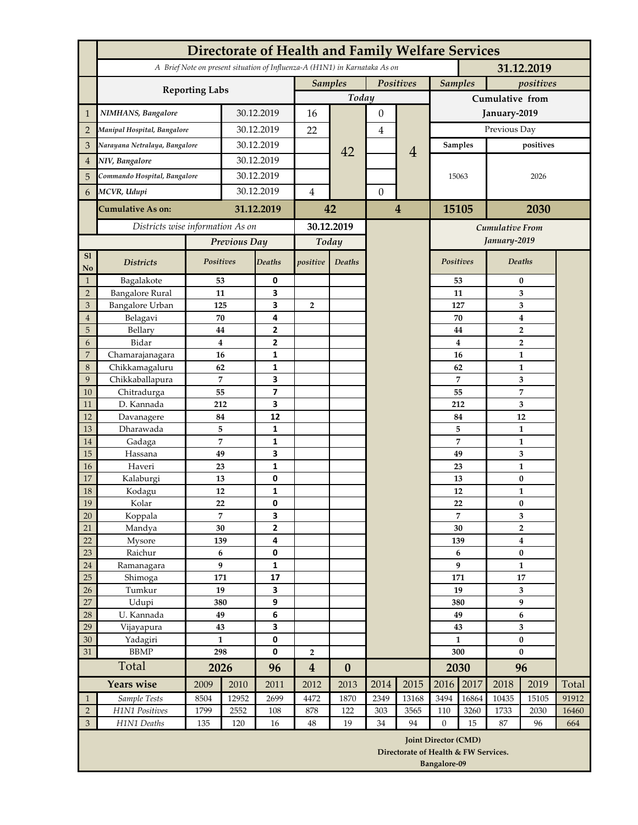|                     | <b>Directorate of Health and Family Welfare Services</b>                                 |                             |                     |                              |                             |                         |                |                                      |                             |                        |                                             |                    |       |  |
|---------------------|------------------------------------------------------------------------------------------|-----------------------------|---------------------|------------------------------|-----------------------------|-------------------------|----------------|--------------------------------------|-----------------------------|------------------------|---------------------------------------------|--------------------|-------|--|
|                     | A Brief Note on present situation of Influenza-A (H1N1) in Karnataka As on<br>31.12.2019 |                             |                     |                              |                             |                         |                |                                      |                             |                        |                                             |                    |       |  |
|                     |                                                                                          | <b>Samples</b><br>Positives |                     |                              | <b>Samples</b><br>positives |                         |                |                                      |                             |                        |                                             |                    |       |  |
|                     | <b>Reporting Labs</b>                                                                    |                             |                     |                              |                             | Today                   |                |                                      |                             | <b>Cumulative from</b> |                                             |                    |       |  |
| 1                   | NIMHANS, Bangalore                                                                       | 30.12.2019                  |                     | 16                           |                             | $\boldsymbol{0}$        |                | January-2019                         |                             |                        |                                             |                    |       |  |
| $\overline{2}$      | Manipal Hospital, Bangalore                                                              | 30.12.2019                  |                     | 22                           |                             | 4                       |                | Previous Day                         |                             |                        |                                             |                    |       |  |
| 3                   | Narayana Netralaya, Bangalore                                                            | 30.12.2019                  |                     |                              |                             |                         | $\overline{4}$ |                                      | <b>Samples</b>              | positives              |                                             |                    |       |  |
| 4                   | NIV, Bangalore                                                                           | 30.12.2019                  |                     |                              | 42                          |                         |                |                                      |                             |                        |                                             |                    |       |  |
|                     | Commando Hospital, Bangalore                                                             |                             | 30.12.2019          |                              |                             |                         |                |                                      | 15063                       |                        | 2026                                        |                    |       |  |
| 5                   |                                                                                          |                             |                     |                              |                             |                         |                |                                      |                             |                        |                                             |                    |       |  |
| 6                   | MCVR, Udupi                                                                              | 30.12.2019                  |                     | $\overline{4}$               |                             | $\boldsymbol{0}$        |                |                                      |                             |                        |                                             |                    |       |  |
|                     | <b>Cumulative As on:</b>                                                                 | 31.12.2019                  |                     | 42                           |                             | $\overline{\mathbf{4}}$ |                | 15105<br>2030                        |                             |                        |                                             |                    |       |  |
|                     | Districts wise information As on                                                         |                             |                     | 30.12.2019                   |                             |                         |                | <b>Cumulative From</b>               |                             |                        |                                             |                    |       |  |
|                     |                                                                                          | Previous Day                |                     | Today                        |                             |                         |                |                                      |                             |                        | January-2019                                |                    |       |  |
| SI<br>No            | <b>Districts</b>                                                                         | Positives                   |                     | <b>Deaths</b>                | positive                    | <b>Deaths</b>           |                |                                      | Positives                   |                        | Deaths                                      |                    |       |  |
| $\mathbf{1}$        | Bagalakote                                                                               | 53                          |                     | 0                            |                             |                         |                |                                      |                             | 53                     | $\bf{0}$                                    |                    |       |  |
| $\overline{2}$      | <b>Bangalore Rural</b>                                                                   | 11                          |                     | 3                            |                             |                         |                |                                      |                             | 11                     | 3                                           |                    |       |  |
| 3                   | Bangalore Urban                                                                          | 125                         |                     | 3                            | $\overline{2}$              |                         |                |                                      |                             | 127                    |                                             | 3                  |       |  |
| $\overline{4}$<br>5 | Belagavi<br>Bellary                                                                      | 70<br>44                    | 4<br>$\overline{2}$ |                              |                             |                         |                |                                      |                             | 70<br>44               | $\boldsymbol{4}$<br>$\overline{\mathbf{2}}$ |                    |       |  |
| 6                   | Bidar                                                                                    |                             | 4                   | $\overline{2}$               |                             |                         |                |                                      |                             | $\bf{4}$               | $\overline{\mathbf{2}}$                     |                    |       |  |
| $\overline{7}$      | Chamarajanagara                                                                          | 16                          |                     | 1                            |                             |                         |                |                                      |                             | 16                     | $\mathbf{1}$                                |                    |       |  |
| 8                   | Chikkamagaluru                                                                           | 62                          |                     | 1                            |                             |                         |                |                                      |                             | 62                     | $\mathbf{1}$                                |                    |       |  |
| 9                   | Chikkaballapura                                                                          | 7                           |                     | 3                            |                             |                         |                |                                      |                             | $\overline{7}$         |                                             | 3                  |       |  |
| 10                  | Chitradurga                                                                              | 55                          |                     | $\overline{\phantom{a}}$     |                             |                         |                |                                      |                             | 55                     |                                             | 7                  |       |  |
| 11<br>12            | D. Kannada                                                                               | 212                         |                     | 3<br>12                      |                             |                         |                |                                      |                             | 212                    |                                             | 3                  |       |  |
| 13                  | Davanagere<br>Dharawada                                                                  | 84<br>5                     |                     | $\mathbf{1}$                 |                             |                         |                |                                      |                             | 84<br>5                |                                             | 12<br>$\mathbf{1}$ |       |  |
| 14                  | Gadaga                                                                                   |                             | $\overline{7}$      | $\mathbf{1}$                 |                             |                         |                |                                      |                             | $\overline{7}$         | $\mathbf{1}$                                |                    |       |  |
| 15                  | Hassana                                                                                  | 49                          |                     | 3                            |                             |                         |                |                                      |                             | 49                     | 3                                           |                    |       |  |
| 16                  | Haveri                                                                                   | 23                          |                     | $\mathbf{1}$                 |                             |                         |                |                                      |                             | 23                     |                                             | $\mathbf{1}$       |       |  |
| 17                  | Kalaburgi                                                                                | 13                          |                     | 0                            |                             |                         |                |                                      |                             | 13                     |                                             | $\bf{0}$           |       |  |
| 18                  | Kodagu                                                                                   | 12                          |                     | $\mathbf{1}$                 |                             |                         |                |                                      |                             | 12                     |                                             | $\mathbf{1}$       |       |  |
| 19<br>20            | Kolar<br>Koppala                                                                         | 22                          | $\overline{7}$      | 0<br>3                       |                             |                         |                |                                      |                             | 22<br>$\overline{7}$   | $\bf{0}$<br>3                               |                    |       |  |
| 21                  | Mandya                                                                                   | 30                          |                     | $\overline{2}$               |                             |                         |                |                                      |                             | 30                     | $\overline{2}$                              |                    |       |  |
| 22                  | Mysore                                                                                   | 139                         |                     | 4                            |                             |                         |                |                                      | 139                         |                        | $\overline{\mathbf{4}}$                     |                    |       |  |
| 23                  | Raichur                                                                                  | 6                           |                     | $\mathbf 0$                  |                             |                         |                |                                      | 6                           |                        | $\bf{0}$                                    |                    |       |  |
| 24                  | Ramanagara                                                                               | 9                           |                     | $\mathbf{1}$                 |                             |                         |                |                                      | 9                           |                        | $\mathbf{1}$                                |                    |       |  |
| 25                  | Shimoga                                                                                  | 171                         |                     | 17                           |                             |                         |                |                                      | 171                         |                        | 17                                          |                    |       |  |
| 26<br>27            | Tumkur<br>Udupi                                                                          | 19<br>380                   |                     | $\overline{\mathbf{3}}$<br>9 |                             |                         |                |                                      | 19<br>380                   |                        | 3<br>9                                      |                    |       |  |
| 28                  | U. Kannada                                                                               | 49                          |                     | 6                            |                             |                         |                |                                      | 49                          |                        | 6                                           |                    |       |  |
| 29                  | Vijayapura                                                                               | 43                          |                     | 3                            |                             |                         |                |                                      | 43                          |                        | 3                                           |                    |       |  |
| 30                  | Yadagiri                                                                                 | $\mathbf{1}$                |                     | $\pmb{0}$                    |                             |                         |                |                                      | $\mathbf{1}$                |                        |                                             | $\bf{0}$           |       |  |
| 31                  | <b>BBMP</b><br>298                                                                       |                             |                     | 0                            | $\overline{2}$              |                         |                |                                      | 300                         |                        | $\bf{0}$                                    |                    |       |  |
|                     | Total                                                                                    |                             | 2026                |                              | $\overline{\mathbf{4}}$     | $\boldsymbol{0}$        |                |                                      | 2030                        |                        | 96                                          |                    |       |  |
|                     | Years wise                                                                               | 2009                        | 2010                | 2011                         | 2012                        | 2013                    | 2014           | 2015                                 | 2016                        | 2017                   | 2018                                        | 2019               | Total |  |
| $\mathbf{1}$        | Sample Tests                                                                             | 8504                        | 12952               | 2699                         | 4472                        | 1870                    | 2349           | 13168                                | 3494                        | 16864                  | 10435                                       | 15105              | 91912 |  |
| $\sqrt{2}$          | H1N1 Positives                                                                           | 1799                        | 2552                | 108                          | 878                         | 122                     | 303            | 3565                                 | 110                         | 3260                   | 1733                                        | 2030               | 16460 |  |
| $\overline{3}$      | H1N1 Deaths                                                                              | 135                         | 120                 | 16                           | 48                          | 19                      | 34             | 94                                   | $\mathbf{0}$                | 15                     | 87                                          | 96                 | 664   |  |
|                     |                                                                                          |                             |                     |                              |                             |                         |                | Directorate of Health & FW Services. | <b>Joint Director (CMD)</b> |                        |                                             |                    |       |  |
|                     |                                                                                          |                             |                     |                              |                             |                         |                |                                      | Bangalore-09                |                        |                                             |                    |       |  |